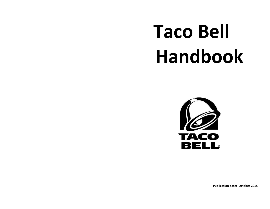# **Taco Bell Handbook**



**Publication date: October 2015**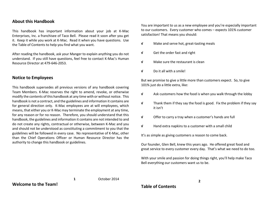## **About this Handbook**

This handbook has important information about your job at K-Mac Enterprises, Inc. a franchisee of Taco Bell. Please read it soon after you get it. Keep it while you work at K-Mac. Read it when you have questions. Use the Table of Contents to help you find what you want.

After reading the handbook, ask your Manger to explain anything you do not understand. If you still have questions, feel free to contact K-Mac's Human Resource Director at 479-646-2053.

#### **Notice to Employees**

This handbook supersedes all previous versions of any handbook covering Team Members. K-Mac reserves the right to amend, revoke, or otherwise modify the contents of this handbook at any time with or without notice. This handbook is not a contract, and the guidelines and information it contains are for general direction only. K-Mac employees are at will employees, which means, that either you or K-Mac may terminate the employment at any time, for any reason or for no reason. Therefore, you should understand that this handbook, the guidelines and information it contains are not intended to and do not create any rights, contractual or otherwise, between K-Mac and you and should not be understood as constituting a commitment to you that the guidelines will be followed in every case. No representative of K-Mac, other than the Chief Operations Officer or Human Resource Director has the authority to change this handbook or guidelines.

You are important to us as a new employee and you're especially important to our customers. Every customer who comes – expects 101% customer satisfaction! That means you should:

- **√** Make and serve hot, great-tasting meals
- **√** Get the order fast and right
- **√** Make sure the restaurant is clean
- **√** Do it all with a smile!

But we promise to give a little more than customers expect. So, to give 101% just do a little extra, like:

- **√** Ask customers how the food is when you walk through the lobby
- **√** Thank them if they say the food is good. Fix the problem if they say it isn't
- **√** Offer to carry a tray when a customer's hands are full
- **√** Hand extra napkins to a customer with a small child

It's as simple as giving customers a reason to come back.

Our founder, Glen Bell, knew this years ago. He offered great food and great service to every customer every day. That's what we need to do too.

With your smile and passion for doing things right, you'll help make Taco Bell everything our customers want us to be.

**Welcome to the Team!**

**1** October 2014

**Table of Contents**

**2**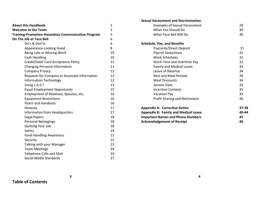| <b>About this Handbook</b>                                | 1  |
|-----------------------------------------------------------|----|
| <b>Welcome to the Team</b>                                | 2  |
| <b>Training-Promotion-Hazardous Communication Program</b> | 5  |
| On The Job at Taco Bell                                   | 6  |
| Do's & Don'ts                                             | 6  |
| Appearance-Looking Good                                   | 8  |
| Being Late or Missing Work                                | 10 |
| <b>Cash Handling</b>                                      | 10 |
| Credit/Debit Card Acceptance Policy                       | 11 |
| <b>Changing Personal Information</b>                      | 11 |
| <b>Company Privacy</b>                                    | 12 |
| Requests for Company or Associate Information             | 12 |
| <b>Information Technology</b>                             | 12 |
| Using L.A.S.T.                                            | 13 |
| <b>Equal Employment Opportunity</b>                       | 15 |
| Employment of Relatives, Spouses, etc.                    | 16 |
| <b>Equipment Restrictions</b>                             | 16 |
| <b>Flyers and Handouts</b>                                | 16 |
| Honesty                                                   | 17 |
| <b>Information from Headquarters</b>                      | 17 |
| <b>Legal Papers</b>                                       | 18 |
| Personal Belongings                                       | 18 |
| Quitting Your Job                                         | 18 |
| Safety                                                    | 19 |
| <b>Food Handling Awareness</b>                            | 21 |
| Security                                                  | 22 |
| Talking with your Manager                                 | 23 |
| <b>Team Meetings</b>                                      | 24 |
| <b>Telephone Calls and Mail</b>                           | 24 |
| Social Media Standards                                    | 27 |

**3**

| <b>Sexual Harassment and Discrimination</b> |       |
|---------------------------------------------|-------|
| <b>Examples of Sexual Harassment</b>        | 29    |
| What You Should Do                          | 30    |
| What Taco Bell Will Do                      | 30    |
| <b>Schedule, Pay, and Benefits</b>          |       |
| Paycards/Direct Deposit                     | 31    |
| <b>Payroll Deductions</b>                   | 31    |
| Work Schedules                              | 31    |
| Work Time and Overtime Pay                  | 32    |
| <b>Family and Medical Leave</b>             | 33    |
| Leave of Absence                            | 34    |
| <b>Rest and Meal Periods</b>                | 34    |
| <b>Meal Discounts</b>                       | 34    |
| Service Date                                | 35    |
| Incentive Contests                          | 35    |
| <b>Vacation Pay</b>                         | 35    |
| <b>Profit Sharing and Retirement</b>        | 36    |
| <b>Appendix A: Corrective Action</b>        | 37-38 |
| <b>Appendix B: Family and Medical Leave</b> | 40-44 |
| <b>Important Names and Phone Numbers</b>    | 45    |
| <b>Acknowledgement of Receipt</b>           | 46    |

# **Table of Contents**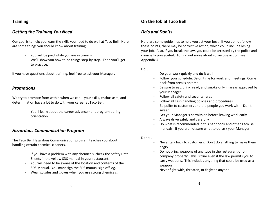# **Training**

# *Getting the Training You Need*

Our goal is to help you learn the skills you need to do well at Taco Bell. Here are some things you should know about training:

- You will be paid while you are in training
- We'll show you how to do things step-by step. Then you'll get to practice.

If you have questions about training, feel free to ask your Manager.

# *Promotions*

We try to promote from within when we can – your skills, enthusiasm, and determination have a lot to do with your career at Taco Bell.

> - You'll learn about the career advancement program during orientation

# *Hazardous Communication Program*

The Taco Bell Hazardous Communication program teaches you about handling certain chemical cleaners.

- If you have a problem with any chemicals, check the Safety Data Sheets in the yellow SDS manual in your restaurant.
- You will need to be aware of the location and contents of the SDS Manual. You must sign the SDS manual sign off log.
- Wear goggles and gloves when you use strong chemicals.

# **On the Job at Taco Bell**

# *Do's and Don'ts*

Here are some guidelines to help you act your best. If you do not follow these points, there may be corrective action, which could include losing your job. Also, if you break the law, you could be arrested by the police and criminally prosecuted. To find out more about corrective action, see Appendix A.

Do…

- Do your work quickly and do it well
- Follow your schedule. Be on time for work and meetings. Come back from breaks on time
- Be sure to eat, drink, read, and smoke only in areas approved by your Manager
- Follow all safety and security rules
- Follow all cash handling policies and procedures
- Be polite to customers and the people you work with. Don't swear
- Get your Manager's permission before leaving work early
- Always drive safely and carefully
- Do what is recommended in this handbook and other Taco Bell manuals. If you are not sure what to do, ask your Manager

Don't…

- Never talk back to customers. Don't do anything to make them angry
- Do not bring weapons of any type in the restaurant or on company property. This is true even if the law permits you to carry weapons. This includes anything that could be used as a weapon
- Never fight with, threaten, or frighten anyone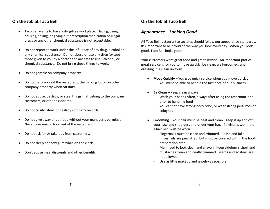- Taco Bell wants to have a drug-free workplace. Having, using, abusing, selling, or giving out prescription medication or illegal drugs or any other chemical substance is not acceptable.
- Do not report to work under the influence of any drug, alcohol or any chemical substance. Do not abuse or use any drug (except those given to you by a doctor and are safe to use), alcohol, or chemical substance. Do not bring these things to work.
- Do not gamble on company property.
- Do not hang around the restaurant, the parking lot or on other company property when off duty.
- Do not abuse, destroy, or steal things that belong to the company, customers, or other associates.
- Do not falsify, steal, or destroy company records.
- Do not give away or eat food without your manager's permission. Never take unsold food out of the restaurant.
- Do not ask for or take tips from customers.
- Do not sleep or chew gum while on the clock.
- Don't abuse meal discounts and other benefits.

# **On the Job at Taco Bell**

## *Appearance – Looking Good*

All Taco Bell restaurant associates should follow our appearance standards. It's important to be proud of the way you look every day. When you look good, Taco Bell looks good.

Your customers want great food and great service. An important part of great service is for you to move quickly, be clean, well-groomed, and dressing in a clean uniform.

- **Move Quickly** You give quick service when you move quickly
	- You must be able to handle the fast pace of our business
- **Be Clean** Keep clean always
	- Wash your hands often, always after using the rest room, and prior to handling food
	- You cannot have strong body odor, or wear strong perfumes or colognes
- **Grooming** Your hair must be neat and clean. Keep it up and off your face and shoulders and under your hat. If a visor is worn, then a hair net must be worn.
	- Fingernails must be clean and trimmed. Polish and fake fingernails are permitted, but must be covered within the food preparation area.
	- Men need to look clean and shaven. Keep sideburns short and mustaches clean and neatly trimmed. Beards and goatees are not allowed.
	- Use as little makeup and jewelry as possible.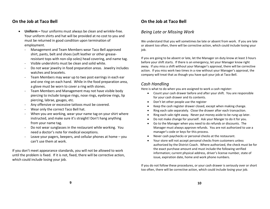- **Uniform –** Your uniforms must always be clean and wrinkle-free. Your uniform shirts and hat will be provided at no cost to you and must be returned in good condition upon termination of employment.
	- Management and Team Members wear Taco Bell approved shirt, pants, belt and shoes (soft leather or other greaseresistant tops with non-slip soles) head covering, and name tag.
	- Visible undershirts must be clean and solid white.
	- Do not wear jewelry in food preparation areas. Jewelry includes watches and bracelets.
	- Team Members may wear up to two post earrings in each ear and one ring on each hand. While in the food preparation area, a glove must be worn to cover a ring with stones.
	- Team Members and Management may not have visible body piercing to include tongue rings, nose rings, eyebrow rings, lip piercing, labrae, gauges, etc.
	- Any offensive or excessive tattoos must be covered.
	- Wear only the correct Taco Bell hat.
	- When you are working, wear your name tag on your shirt where instructed, and make sure it's straight! Don't hang anything from your name tag.
	- Do not wear sunglasses in the restaurant while working. You need a doctor's note for medical exceptions.
	- Leave your pagers, beepers, and cellular phones at home  $-$  you can't use them at work.

If you don't meet appearance standards, you will not be allowed to work until the problem is fixed. If it is not, fixed, there will be corrective action, which could include losing your job.

# **On the Job at Taco Bell**

### *Being Late or Missing Work*

We understand that you will sometimes be late or absent from work. If you are late or absent too often, there will be corrective action, which could include losing your job.

If you are going to be absent or late, let the Manager on duty know at least 3 hours before your shift starts. If there is an emergency, let your Manager know right away. If you miss a shift without your Manager's approval, there will be corrective action. If you miss work two times in a row without your Manager's approval, the company will treat that as though you have quit your job at Taco Bell.

## *Cash Handling*

Here is what to do when you are assigned to work a cash register:

- Count your cash drawer before and after your shift. You are responsible for your cash drawer and its contents.
- Don't let other people use the register
- Keep the cash register drawer closed, except when making change.
- Ring each sale separately. Close the drawer after each transaction.
- Ring each sale right away. Never put money aside to be rung up later.
- Do not make change for yourself. Ask your Manger to do it for you.
- Go to the Manager when you need to do refunds or discounts. The Manager must always approve refunds. You are not authorized to use a manager's code or keys for this process.
- Never cash paychecks or personal checks at the restaurant.
- Your store will not accept personal checks from customers unless authorized by the District Coach. Where authorized, the check must be for the exact purchase amount and must include the following verified information; current physical address, driver's license number, state of issue, expiration date, home and work phone numbers.

If you do not follow these procedures, or your cash drawer is seriously over or short too often, there will be corrective action, which could include losing your job.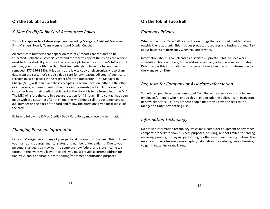## *K-Mac Credit/Debit Card Acceptance Policy*

This policy applies to all store employees including Mangers, Assistant Managers, Shift Mangers, Hourly Team Members and District Coaches.

All credit card numbers that appear on receipts / reports are required to be truncated. Both the customer's copy and the store's copy of the credit card receipt must be truncated. If you notice that any receipts have the customer's full account number, you must notify the Help Desk immediately to have the full number removed (877-646-8148). It is against the law to copy or electronically record any data from the customer's credit / debit card for any reason. All credit / debit card receipts must be placed in the register after the transaction. The Manager in Charge (MIC), will then place these receipts in a secure location, either in the office or in the safe, and send them to the office in the weekly packet. In the event a customer leaves their credit / debit card at the store it is to be turned in to the MIC. The MIC will store the card in a secure location for 48 hours. If no contact has been made with the customer after this time, the MIC should call the customer service 800 number on the back of the card and follow the directions given for disposal of the card.

Failure to follow the K-Mac Credit / Debit Card Policy may result in termination.

# *Changing Personal Information*

Let your Manager know if any of your personal information changes. This includes your name and address, marital status, and number of dependents. Due to your personal changes, you may want to complete new federal and state income tax forms. In the event you leave Taco Bell, you must provide a current address for final W-2, and if applicable, profit sharing/retirement notification purposes.

# **On the Job at Taco Bell**

## *Company Privacy*

When you work at Taco Bell, you will learn things that you should not talk about outside the restaurant. This includes product procedures and business plans. Talk about business matters only when you are at work.

Information about Taco Bell and its associates is private. This includes work schedules, phone numbers, home addresses and any other personal information. Don't discuss this information with anyone. Refer all requests for information to the Manager on Duty.

# *Requests for Company or Associate Information*

Sometimes, people ask questions about Taco Bell or its associates (including exemployees). People who might do this might include the police, health inspectors, or news reporters. Tell any of these people that they'll have to speak to the Manger on Duty. Say nothing else.

# *Information Technology*

Do not use information technology, voice mail, computer equipment or any other company property for non-business purposes including, but not limited to sending, receiving, printing, displaying, performing or otherwise disseminating material that may be abusive, obscene, pornographic, defamatory, harassing, grossly offensive, vulgar, threatening or malicious.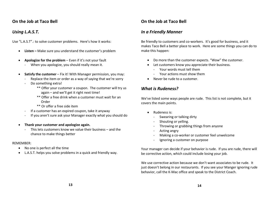# *Using L.A.S.T.*

Use "L.A.S.T".: to solve customer problems. Here's how it works:

- **Listen –** Make sure you understand the customer's problem
- **Apologize for the problem** Even if it's not your fault
	- When you apologize, you should really mean it.
- **Satisfy the customer** Fix it! With Manager permission, you may:
	- Replace the item or order as a way of saying that we're sorry
	- Do something extra!
		- \*\* Offer your customer a coupon. The customer will try us again – and we'll get it right next time!
		- \*\* Offer a free drink when a customer must wait for an Order
		- \*\* Or offer a free side item
	- If a customer has an expired coupon, take it anyway
	- If you aren't sure ask your Manager exactly what you should do
- **Thank your customer and apologize again.**
	- This lets customers know we value their business and the chance to make things better

#### REMEMBER:

- No one is perfect all the time
- L.A.S.T. helps you solve problems in a quick and friendly way.

# **On the Job at Taco Bell**

# *In a Friendly Manner*

Be friendly to customers and co-workers. It's good for business, and it makes Taco Bell a better place to work. Here are some things you can do to make this happen:

- Do more than the customer expects. "Wow" the customer.
- Let customers know you appreciate their business.
	- Your words must tell them
	- Your actions must show them
- Never be rude to a customer.

# *What is Rudeness?*

We've listed some ways people are rude. This list is not complete, but it covers the main points.

- Rudeness is:
	- Swearing or talking dirty
	- Shouting or yelling.
	- Throwing or grabbing things from anyone
	- Acting angry
	- Making a co-worker or customer feel unwelcome
	- Ignoring a customer on purpose

Your manager can decide if your behavior is rude. If you are rude, there will be corrective action, which could include losing your job.

We use corrective action because we don't want associates to be rude. It just doesn't belong in our restaurants. If you see your Manger ignoring rude behavior, call the K-Mac office and speak to the District Coach.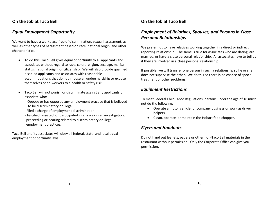# *Equal Employment Opportunity*

We want to have a workplace free of discrimination, sexual harassment, as well as other types of harassment based on race, national origin, and other characteristics.

- To do this, Taco Bell gives equal opportunity to all applicants and associates without regard to race, color, religion, sex, age, marital status, national origin, or citizenship. We will also provide qualified disabled applicants and associates with reasonable accommodations that do not impose an undue hardship or expose themselves or co-workers to a health or safety risk.
- Taco Bell will not punish or discriminate against any applicants or associate who:
	- Oppose or has opposed any employment practice that is believed to be discriminatory or illegal
	- Filed a charge of employment discrimination
	- Testified, assisted, or participated in any way in an investigation, proceeding or hearing related to discriminatory or illegal employment practices.

Taco Bell and its associates will obey all federal, state, and local equal employment opportunity laws.

# **On the Job at Taco Bell**

# *Employment of Relatives, Spouses, and Persons in Close Personal Relationships*

We prefer not to have relatives working together in a direct or indirect reporting relationship. The same is true for associates who are dating, are married, or have a close personal relationship. All associates have to tell us if they are involved in a close personal relationship.

If possible, we will transfer one person in such a relationship so he or she does not supervise the other. We do this so there is no chance of special treatment or other problems.

## *Equipment Restrictions*

To meet Federal Child Labor Regulations, persons under the age of 18 must not do the following:

- Operate a motor vehicle for company business or work as driver helpers.
- Clean, operate, or maintain the Hobart food chopper.

# *Flyers and Handouts*

Do not hand out leaflets, papers or other non-Taco Bell materials in the restaurant without permission. Only the Corporate Office can give you permission.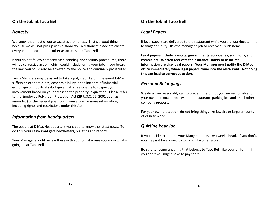## *Honesty*

We know that most of our associates are honest. That's a good thing, because we will not put up with dishonesty. A dishonest associate cheats everyone; the customers, other associates and Taco Bell.

If you do not follow company cash handling and security procedures, there will be corrective action, which could include losing your job. If you break the law, you could also be arrested by the police and criminally prosecuted.

Team Members may be asked to take a polygraph test in the event K-Mac suffers an economic loss, economic injury, or an incident of industrial espionage or industrial sabotage and it is reasonable to suspect your involvement based on your access to the property in question. Please refer to the Employee Polygraph Protection Act (29 U.S.C. 22, 2001 et al, as amended) or the Federal postings in your store for more information, including rights and restrictions under this Act.

# *Information from headquarters*

The people at K-Mac Headquarters want you to know the latest news. To do this, your restaurant gets newsletters, bulletins and reports.

Your Manager should review these with you to make sure you know what is going on at Taco Bell.

# **On the Job at Taco Bell**

# *Legal Papers*

If legal papers are delivered to the restaurant while you are working, tell the Manager on duty. It's the manager's job to receive all such items.

**Legal papers include lawsuits, garnishments, subpoenas, summons, and complaints. Written requests for insurance, safety or associate information are also legal papers. Your Manager must notify the K-Mac office immediately when legal papers come into the restaurant. Not doing this can lead to corrective action.**

# *Personal Belongings*

We do all we reasonably can to prevent theft. But you are responsible for your own personal property in the restaurant, parking lot, and on all other company property.

For your own protection, do not bring things like jewelry or large amounts of cash to work

# *Quitting Your Job*

If you decide to quit tell your Manger at least two week ahead. If you don't, you may not be allowed to work for Taco Bell again.

Be sure to return anything that belongs to Taco Bell, like your uniform. If you don't you might have to pay for it.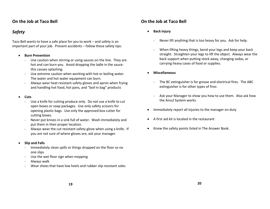# *Safety*

Taco Bell wants to have a safe place for you to work – and safety is an important part of your job. Prevent accidents – follow these safety tips:

#### **Burn Prevention**

- Use caution when stirring or using sauces on the line. They are hot and can burn you. Avoid dropping the ladle in the saucethis causes splashing.
- Use extreme caution when working with hot or boiling water. The water and hot water equipment can burn.
- Always wear heat resistant safety gloves and apron when frying and handling hot food, hot pans, and "boil in bag" products
- **Cuts**
	- Use a knife for cutting produce only. Do not use a knife to cut open boxes or soap packages. Use only safety scissors for opening plastic bags. Use only the approved box cutter for cutting boxes.
	- Never put knives in a sink full of water. Wash immediately and put them in their proper location.
	- Always wear the cut resistant safety glove when using a knife. If you are not sure of where gloves are, ask your manager.
- **Slip and Falls**
	- Immediately clean spills or things dropped on the floor so no one slips
	- Use the wet floor sign when mopping
	- Always walk
	- Wear shoes that have low heels and rubber slip resistant soles

# **On the Job at Taco Bell**

- **Back Injury**
	- Never lift anything that is too heavy for you. Ask for help.
	- When lifting heavy things, bend your legs and keep your back straight. Straighten your legs to lift the object. Always wear the back support when putting stock away, changing sodas, or carrying heavy cases of food or supplies.
- **Miscellaneous**
	- The BC extinguisher is for grease and electrical fires. The ABC extinguisher is for other types of fires
	- Ask your Manager to show you how to use them. Also ask how the Ansul System works.
- Immediately report all injuries to the manager on duty
- A first aid kit is located in the restaurant
- Know the safety points listed in The Answer Book.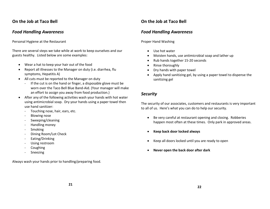## *Food Handling Awareness*

Personal Hygiene at the Restaurant

There are several steps we take while at work to keep ourselves and our guests healthy. Listed below are some examples:

- Wear a hat to keep your hair out of the food
- Report all illnesses to the Manager on duty (i.e. diarrhea, flu symptoms, Hepatitis A)
- All cuts must be reported to the Manager on duty
	- If the cut is on the hand or finger, a disposable glove must be worn over the Taco Bell Blue Band-Aid. (Your manager will make an effort to assign you away from food production.)
- After any of the following activities wash your hands with hot water using antimicrobial soap. Dry your hands using a paper towel then use hand sanitizer:
	- Touching nose, hair, ears, etc.
	- Blowing nose
	- Sweeping/cleaning
	- Handling money
	- **Smoking**
	- Dining Room/Lot Check
	- Eating/Drinking
	- Using restroom
	- **Coughing**
	- **Sneezing**

Always wash your hands prior to handling/preparing food.

# **On the Job at Taco Bell**

# *Food Handling Awareness*

Proper Hand Washing

- Use hot water
- Moisten hands, use antimicrobial soap and lather up
- Rub hands together 15-20 seconds
- Rinse thoroughly
- Dry hands with paper towel
- Apply hand sanitizing gel, by using a paper towel to dispense the sanitizing gel

# *Security*

The security of our associates, customers and restaurants is very important to all of us. Here's what you can do to help our security.

- Be very careful at restaurant opening and closing. Robberies happen most often at these times. Only park in approved areas.
- **Keep back door locked always**
- Keep all doors locked until you are ready to open
- **Never open the back door after dark**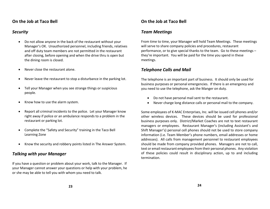# *Security*

- Do not allow anyone in the back of the restaurant without your Manager's OK. Unauthorized personnel, including friends, relatives and off duty team members are not permitted in the restaurant after closing, before opening and when the drive thru is open but the dining room is closed.
- Never close the restaurant alone.
- Never leave the restaurant to stop a disturbance in the parking lot.
- Tell your Manager when you see strange things or suspicious people.
- Know how to use the alarm system.
- Report all criminal incidents to the police. Let your Manager know right away if police or an ambulance responds to a problem in the restaurant or parking lot.
- Complete the "Safety and Security" training in the Taco Bell Learning Zone
- Know the security and robbery points listed in The Answer System.

# *Talking with your Manager*

If you have a question or problem about your work, talk to the Manager. If your Manager cannot answer your questions or help with your problem, he or she may be able to tell you with whom you need to talk.

# **On the Job at Taco Bell**

# *Team Meetings*

From time to time, your Manager will hold Team Meetings. These meetings will serve to share company policies and procedures, restaurant performance, or to give special thanks to the team. Go to these meetings – they're important. You will be paid for the time you spend in these meetings.

# *Telephone Calls and Mail*

The telephone is an important part of business. It should only be used for business purposes or personal emergencies. If there is an emergency and you need to use the telephone, ask the Manger on duty.

- Do not have personal mail sent to the restaurant.
- Never charge long distance calls or personal mail to the company.

Some employees of K-MAC Enterprises, Inc. will be issued cell phones and/or other wireless devices. These devices should be used for professional business purposes only. District/Market Coaches are not to text restaurant managers or employees. Restaurant Manager's (including Assistant's and Shift Manager's) personal cell phones should not be used to store company information (i.e. Team Member's phone numbers, email addresses or home addresses). All calls from management personnel to restaurant employees should be made from company provided phones. Managers are not to call, text or email restaurant employees from their personal phones. Any violation of these policies could result in disciplinary action, up to and including termination.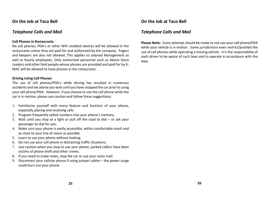## *Telephone Calls and Mail*

#### **Cell Phones In Restaurants**

No cell phones, PDA's or other WiFi enabled devices will be allowed in the restaurants unless they are paid for and authorized by the company. Pagers and beepers are also not allowed. This applies to salaried Management as well as hourly employees. Only authorized personnel such as Above Store Leaders and other field people whose phones are provided and paid for by K-MAC will be allowed to have phones in the restaurants.

#### **Driving Using Cell Phones**

The use of cell phones/PDA's while driving has resulted in numerous accidents and we advise you wait until you have stopped the car prior to using your cell phone/PDA. However, if you choose to use the cell phone while the car is in motion, please use caution and follow these suggestions:

- 1. Familiarize yourself with every feature and function of your phone, especially placing and receiving calls.
- 2. Program frequently called numbers into your phone's memory.
- 3. Wait until you stop at a light or pull off the road to dial or ask your passenger to dial for you.
- 4. Make sure your phone is easily accessible, within comfortable reach and as close to your line of vision as possible.
- 5. Learn to use your phone without looking.
- 6. Do not use your cell phone in distracting traffic situations.
- 7. Use caution when you stop to use your phone, parked callers have been victims of phone theft and other crimes.
- 8. If you need to make notes, stop the car or use your voice mail.
- 9. Disconnect your cellular phone if using jumper cables the power surge could burn out your phone.

# **On the Job at Taco Bell**

## *Telephone Calls and Mail*

**Please Note:** Every attempt should be made to not use your cell phone/PDA while your vehicle is in motion. Some jurisdictions even restrict/prohibit the use of cell phones while operating a moving vehicle. It is the responsibility of each driver to be aware of such laws and to operate in accordance with the laws.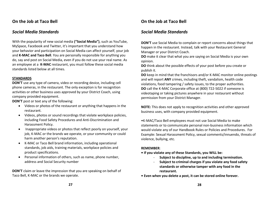## *Social Media Standards*

With the popularity of new social media **("Social Media")**, such as YouTube, MySpace, Facebook and Twitter, it's important that you understand how your behavior and participation on Social Media can affect yourself, your job and **K-MAC and Taco Bell**. You are personally responsible for anything you do, say and post on Social Media, even if you do not use your real name. As an employee at a **K-MAC** restaurant, you must follow these social media standards listed below at all times.

#### **STANDARDS**

**DON'T** use any type of camera, video or recording device, including cell phone cameras, in the restaurant. The only exception is for recognition activities or other business uses approved by your District Coach, using company provided equipment.

**DON'T** post or text any of the following:

- Videos or photos of the restaurant or anything that happens in the restaurant.
- Videos, photos or sound recordings that violate workplace policies, including Food Safety Procedures and Anti-Discrimination and Harassment Policy.
- Inappropriate videos or photos that reflect poorly on yourself, your job, K-MAC or the brands we operate, or your community or could harm another person's reputation.
- K-MAC or Taco Bell brand information, including operational standards, job aids, training materials, workplace policies and product specifications.
- Personal information of others, such as name, phone number, address and Social Security number

**DON'T** claim or leave the impression that you are speaking on behalf of Taco Bell, K-MAC or the brands we operate.

# **On the Job at Taco Bell**

# *Social Media Standards*

**DON'T** use Social Media to complain or report concerns about things that happen in the restaurant. Instead, talk with your Restaurant General Manager or your District Coach.

**DO** make it clear that what you are saying on Social Media is your own opinion.

**DO** think about the possible effects of your post before you create or publish it.

**DO** keep in mind that the franchisors and/or K-MAC monitor online postings and will report **ANY** crimes, including theft, vandalism, health code violations, food tampering / safety issues, to the proper authorities. **DO** call the K-MAC Corporate office at (800) 722-5022 if someone is videotaping or taking pictures anywhere in your restaurant without permission from your District Manager.

**NOTE:** This does not apply to recognition activities and other approved business uses, with company provided equipment.

•K-MAC/Taco Bell employees must not use Social Media to make statements or to communicate personal non-business information which would violate any of our Handbook Rules or Policies and Procedures. For Example: Sexual Harassment Policy, sexual comments/innuendo, threats of violence, bullying, etc.

#### **REMEMBER**:

- **If you violate any of these Standards, you WILL be:**
	- **Subject to discipline, up to and including termination.**
	- **Subject to criminal charges if you violate any food safety standards or otherwise tamper with any food in the restaurant.**
- **Even when you delete a post, it can be stored online forever.**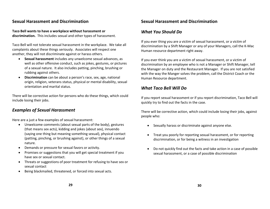# **Sexual Harassment and Discrimination**

**Taco Bell wants to have a workplace without harassment or discrimination.** This includes sexual and other types of harassment.

Taco Bell will not tolerate sexual harassment in the workplace. We take all complaints about these things seriously. Associates will respect one another, they will not discriminate against or harass others.

- **Sexual harassment** includes any unwelcome sexual advances, as well as other offensive conduct, such as jokes, gestures, or pictures of a sexual nature. It also includes patting, pinching, brushing or rubbing against others.
- **Discrimination** can be about a person's race, sex, age, national origin, religion, veterans status, physical or mental disability, sexual orientation and marital status.

There will be corrective action for persons who do these things, which could include losing their jobs.

# *Examples of Sexual Harassment*

Here are a just a few examples of sexual harassment:

- Unwelcome comments (about sexual parts of the body), gestures (that means sex acts), kidding and jokes (about sex), innuendo (saying one thing but meaning something sexual), physical contact (patting, pinching, or brushing against), or other things of a sexual nature.
- Demands or pressure for sexual favors or activity.
- Promises or suggestions that you will get special treatment if you have sex or sexual contact.
- Threats or suggestions of poor treatment for refusing to have sex or sexual contact
- Being blackmailed, threatened, or forced into sexual acts.

# **Sexual Harassment and Discrimination**

# *What You Should Do*

If you ever thing you are a victim of sexual harassment, or a victim of discrimination by a Shift Manager or any of your Managers, call the K-Mac Human resource department right away.

If you ever think you are a victim of sexual harassment, or a victim of discrimination by an employee who is not a Manager or Shift Manager, tell the Manager on duty and the Restaurant Manager. If you are not satisfied with the way the Manger solves the problem, call the District Coach or the Human Resource department.

# *What Taco Bell Will Do*

If you report sexual harassment or if you report discrimination, Taco Bell will quickly try to find out the facts in the case.

There will be corrective action, which could include losing their jobs, against people who:

- Sexually harass or discriminate against anyone else.
- Treat you poorly for reporting sexual harassment, or for reporting discrimination, or for being a witness in an investigation
- Do not quickly find out the facts and take action in a case of possible sexual harassment, or a case of possible discrimination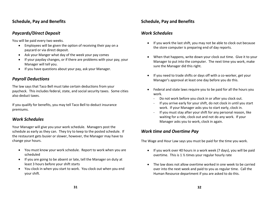# **Schedule, Pay and Benefits**

# *Paycards/Direct Deposit*

You will be paid every two weeks.

- Employees will be given the option of receiving their pay on a paycard or via direct deposit.
- Ask your Manger what day of the week your pay comes
- If your payday changes, or if there are problems with your pay, your Manager will tell you.
- If you have questions about your pay, ask your Manager.

# *Payroll Deductions*

The law says that Taco Bell must take certain deductions from your paycheck. This includes federal, state, and social security taxes. Some cities also deduct taxes.

If you qualify for benefits, you may tell Taco Bell to deduct insurance premiums.

# *Work Schedules*

Your Manager will give you your work schedule. Managers post the schedule as early as they can. They try to keep to the posted schedule. If the restaurant gets busier or slower, however, the Manager may have to change your hours.

- You must know your work schedule. Report to work when you are scheduled
- If you are going to be absent or late, tell the Manager on duty at least 3 hours before your shift starts
- You clock in when you start to work. You clock out when you end your shift.

# **Schedule, Pay and Benefits**

# *Work Schedules*

- If you work the last shift, you may not be able to clock out because the store computer is preparing end of day reports.
- When that happens, write down your clock out time. Give it to your Manager to put into the computer. The next time you work, make sure the Manager did this right.
- If you need to trade shifts or days off with a co-worker, get your Manager's approval at least one day before you do this.
- Federal and state laws require you to be paid for all the hours you work.
	- Do not work before you clock in or after you clock out.
	- If you arrive early for your shift, do not clock in until you start work. If your Manager asks you to start early, clock in.
	- If you must stay after your shift for any personal reason, like waiting for a ride, clock out and not do any work. If your Manager asks you to work, clock in again.

# *Work time and Overtime Pay*

The Wage and Hour Law says you must be paid for the time you work.

- If you work over 40 hours in a work week (7 days), you will be paid overtime. This is 1 ½ times your regular hourly rate
- The law does not allow overtime worked in one week to be carried over into the next week and paid to you as regular time. Call the Human Resource department if you are asked to do this.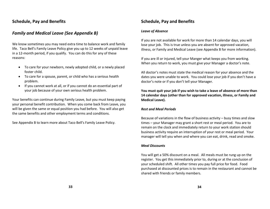# **Schedule, Pay and Benefits**

# *Family and Medical Leave (See Appendix B)*

We know sometimes you may need extra time to balance work and family life. Taco Bell's Family Leave Policy give you up to 12 weeks of unpaid leave in a 12-month period, if you qualify. You can do this for any of these reasons:

- To care for your newborn, newly adopted child, or a newly placed foster child.
- To care for a spouse, parent, or child who has a serious health problem.
- If you cannot work at all, or if you cannot do an essential part of your job because of your own serious health problem.

Your benefits can continue during Family Leave, but you must keep paying your personal benefit contribution. When you come back from Leave, you will be given the same or equal position you had before. You will also get the same benefits and other employment terms and conditions.

See Appendix B to learn more about Taco Bell's Family Leave Policy.

# **Schedule, Pay and Benefits**

#### *Leave of Absence*

If you are not available for work for more than 14 calendar days, you will lose your job. This is true unless you are absent for approved vacation, illness, or Family and Medical Leave (see Appendix B for more information).

If you are ill or injured, tell your Manger what keeps you from working. When you return to work, you must give your Manager a doctor's note.

All doctor's notes must state the medical reason for your absence and the dates you were unable to work. You could lose your job if you don't have a doctor's note or if you don't tell your Manager.

**You must quit your job if you wish to take a leave of absence of more than 14 calendar days (other than for approved vacation, illness, or Family and Medical Leave).**

#### *Rest and Meal Periods*

Because of variations in the flow of business activity – busy times and slow times – your Manager may grant a short rest or meal period. You are to remain on the clock and immediately return to your work station should business activity require an interruption of your rest or meal period. Your manager will tell you when and where you can eat, drink, read and smoke.

#### *Meal Discounts*

You will get a 50% discount on a meal. All meals must be rung up on the register. You get this immediately prior to, during or at the conclusion of your scheduled shift. All other times you pay full price for food. Food purchased at discounted prices is to remain in the restaurant and cannot be shared with friends or family members.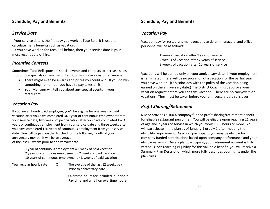# **Schedule, Pay and Benefits**

## *Service Date*

- Your service date is the first day you work at Taco Bell. It is used to calculate many benefits such as vacation.

- If you have worked for Taco Bell before, then your service date is your most recent date of hire.

# *Incentive Contests*

Sometimes Taco Bell sponsors special events and contests to increase sales, to promote specials or new menu items, or to improve customer service.

- There might even be awards and prizes you could win. If you do win something, remember you have to pay taxes on it.
- Your Manager will tell you about any special events in your restaurant.

# *Vacation Pay*

If you are an hourly paid employee, you'll be eligible for one week of paid vacation after you have completed ONE year of continuous employment from your service date, two weeks of paid vacation after you have completed TWO years of continuous employment from your service date and three weeks after you have completed TEN years of continuous employment from your service date. You will be paid on the 1st check of the following month of your anniversary month. It will be an average of the last 12 weeks prior to anniversary date.

> 1 year of continuous employment = 1 week of paid vacation 2 years of continuous employment = 2 weeks of paid vacation 10 years of continuous employment = 3 weeks of paid vacation

Your regular hourly rate X The average of the last 12 weeks pay Prior to anniversary date

> Overtime hours are included, but don't Pay time and a half on overtime hours **35**

# **Schedule, Pay and Benefits**

## *Vacation Pay*

Vacation pay for restaurant managers and assistant managers, and office personnel will be as follows:

- 1 week of vacation after 1 year of service
- 2 weeks of vacation after 2 years of service
- 3 weeks of vacation after 10 years of service

Vacations will be earned only on your anniversary date. If your employment is terminated, there will be no proration of a vacation for the partial year you have worked. (this coincides with the policy of the vacation being earned on the anniversary date.) The District Coach must approve your vacation request before you can take vacation. There are no carryovers on vacations. They must be taken before your anniversary date rolls over.

# *Profit Sharing/Retirement*

K-Mac provides a 100% company funded profit sharing/retirement benefit for eligible restaurant personnel. You will be eligible upon reaching 21 years of age and 2 years of service in which you work 1000 hours or more. You will participate in the plan as of January 1 or July 1 after meeting the eligibility requirement. As a plan participant, you may be eligible for company funded contributions based upon company performance and your eligible earnings. Once a plan participant, your retirement account is fully vested. Upon reaching eligibility for this valuable benefit, you will receive a Summary Plan Description which more fully describes your rights under the plan rules.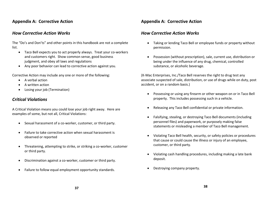# **Appendix A: Corrective Action**

## *How Corrective Action Works*

The "Do's and Don'ts" and other points in this handbook are not a complete list.

- Taco Bell expects you to act properly always. Treat your co-workers and customers right. Show common sense, good business judgment, and obey all laws and regulations
- Any poor behavior can lead to corrective action against you.

Corrective Action may include any one or more of the following:

- A verbal action
- A written action
- Losing your job (Termination)

# *Critical Violations*

A Critical Violation means you could lose your job right away. Here are examples of some, but not all, Critical Violations:

- Sexual harassment of a co-worker, customer, or third party.
- Failure to take corrective action when sexual harassment is observed or reported
- Threatening, attempting to strike, or striking a co-worker, customer or third party.
- Discrimination against a co-worker, customer or third party.
- Failure to follow equal employment opportunity standards.

# **Appendix A: Corrective Action**

# *How Corrective Action Works*

- Taking or lending Taco Bell or employee funds or property without permission.
- Possession (without prescription), sale, current use, distribution or being under the influence of any drug, chemical, controlled substance, or alcoholic beverage.

(K-Mac Enterprises, Inc./Taco Bell reserves the right to drug test any associate suspected of sale, distribution, or use of drugs while on duty, post accident, or on a random basis.)

- Possessing or using any firearm or other weapon on or in Taco Bell property. This includes possessing such in a vehicle.
- Releasing any Taco Bell confidential or private information.
- Falsifying, stealing, or destroying Taco Bell documents (including personnel files) and paperwork, or purposely making false statements or misleading a member of Taco Bell management.
- Violating Taco Bell health, security, or safety policies or procedures that cause or could cause the illness or injury of an employee, customer, or third party.
- Violating cash handling procedures, including making a late bank deposit.
- Destroying company property.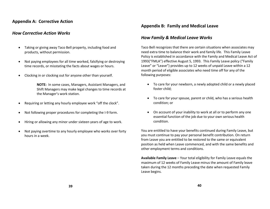## **Appendix A: Corrective Action**

## *How Corrective Action Works*

- Taking or giving away Taco Bell property, including food and products, without permission.
- Not paying employees for all time worked, falsifying or destroying time records, or misstating the facts about wages or hours.
- Clocking in or clocking out for anyone other than yourself.

**NOTE:** In some cases, Managers, Assistant Managers, and Shift Managers may make legal changes to time records at the Manager's work station.

- Requiring or letting any hourly employee work "off the clock".
- Not following proper procedures for completing the I-9 form.
- Hiring or allowing any minor under sixteen years of age to work.
- Not paying overtime to any hourly employee who works over forty hours in a week.

## **Appendix B: Family and Medical Leave**

## *How Family & Medical Leave Works*

Taco Bell recognizes that there are certain situations when associates may need extra time to balance their work and family life. This Family Leave Policy is established in accordance with the Family and Medical Leave Act of 1993("FMLA") effective August 5, 1993. This Family Leave policy ("Family Leave" or "Leave") provides up to 12 weeks of unpaid Leave within a 12 month period of eligible associates who need time off for any of the following purposes:

- To care for your newborn, a newly adopted child or a newly placed foster child;
- To care for your spouse, parent or child, who has a serious health condition; or
- On account of your inability to work at all or to perform any one essential function of the job due to your own serious health condition.

You are entitled to have your benefits continued during Family Leave, but you must continue to pay your personal benefit contribution. On return from Leave you are entitled to be restored to the same or equivalent position as held when Leave commenced, and with the same benefits and other employment terms and conditions.

**Available Family Leave** – Your total eligibility for Family Leave equals the maximum of 12 weeks of Family Leave minus the amount of Family leave taken during the 12 months preceding the date when requested Family Leave begins.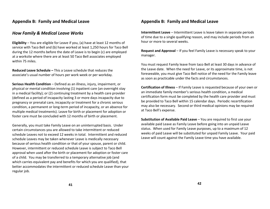## **Appendix B: Family and Medical Leave**

#### *How Family & Medical Leave Works*

**Eligibility** – You are eligible for Leave if you, (a) have at least 12 months of service with Taco Bell and (b) have worked at least 1,250 hours for Taco Bell during the 12 months before the date of Leave is to begin (c) are employed at a worksite where there are at least 50 Taco Bell associates employed within 75 miles.

**Reduced Leave Schedule –** This a Leave schedule that reduces the associate's usual number of hours per work week or per workday.

**Serious Health Condition** – Defined as an illness, injury, impairment, or physical or mental condition involving (1) inpatient care (an overnight stay in a medical facility); or (2) continuing treatment by a health care provider (defined as a period of incapacity lasting 3 or more days incapacity due to pregnancy or prenatal care, incapacity or treatment for a chronic serious condition, a permanent or long-term period of incapacity, or an absence for multiple medical treatments). Leave for birth or placement for adoption or foster care must be concluded with 12 months of birth or placement.

Generally, you must take Family Leave on an uninterrupted basis. Under certain circumstances you are allowed to take intermittent or reduced schedule Leaves not to exceed 12 weeks in total. Intermittent and reduced schedule Leaves may be taken whenever Leave is medically necessary because of serious health condition or that of your spouse, parent or child. However, intermittent or reduced schedule Leave is subject to Taco Bell approval when used after the birth or placement for adoption or foster care of a child. You may be transferred to a temporary alternative job (and which carries equivalent pay and benefits for which you are qualified), that better accommodates the intermittent or reduced schedule Leave than your regular job.

## **Appendix B: Family and Medical Leave**

**Intermittent Leave** – Intermittent Leave is leave taken in separate periods of time due to a single qualifying reason, and may include periods from an hour or more to several weeks.

**Request and Approval** – If you feel Family Leave is necessary speak to your manager.

You must request Family leave from taco Bell at least 30 days in advance of the Leave date. When the need for Leave, or its approximate time, is not foreseeable, you must give Taco Bell notice of the need for the Family leave as soon as practicable under the facts and circumstances.

**Certification of Illness** – If Family Leave is requested because of your own or an immediate family member's serious health condition, a medical certification form must be completed by the health care provider and must be provided to Taco Bell within 15 calendar days. Periodic recertification may also be necessary. Second or third medical opinions may be required at Taco Bell's expense.

**Substitution of Available Paid Leave** – You are required to first use your available paid Leave as Family Leave before going into an unpaid Leave status. When used for Family Leave purposes, up to a maximum of 12 weeks of paid Leave will be substituted for unpaid Family Leave. Your paid Leave will count against the Family Leave time you have available.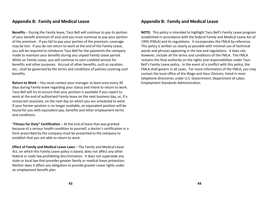## **Appendix B: Family and Medical Leave**

**Benefits** – During the Family leave, Taco Bell will continue to pay its portion of your benefit premium (if any) and you must continue to pay your portion of the premium. If you fail to pay your portion of the premium, coverage may be lost. If you do not return to work at the end of the Family Leave, you will be required to reimburse Taco Bell for the payments the company made to maintain your benefits during any unpaid Family Leave period. While on Family Leave, you will continue to earn credited service for benefits and other purposes. Accrual of other benefits, such as vacation, etc., shall be governed by the terms and conditions of policies covering such benefits.

**Return to Work** – You must contact your manager at least once every 30 days during Family leave regarding your status and intent to return to work. Taco Bell will try to ensure that your position is available if you report to work at the end of authorized Family leave on the next business day, or, if a restaurant associate, on the next day on which you are scheduled to work. If your former position is no longer available, an equivalent position will be found for you with equivalent pay, benefits and other employment terms and conditions.

**"Fitness for Duty" Certification** – At the end of leave that was granted because of a serious health condition to yourself, a doctor's certification in a form prescribed by the company must be presented to the company to establish that you are able to return to work.

**Effect of Family and Medical Leave Laws** – The Family and Medical Leave Act, on which this Family Leave policy is based, does not affect any other federal or state law prohibiting discrimination. It does not supersede any state or local law that provides greater family or medical leave protection. Neither does it affect any obligation to provide greater Leave rights under an employment benefit plan.

## **Appendix B: Family and Medical Leave**

**NOTE:** This policy is intended to highlight Taco Bell's Family Leave program established in accordance with the federal Family and Medical Leave Act of 1993 (FMLA) and its regulations. It incorporates the FMLA by reference. This policy is written as clearly as possible with minimal use of technical words and phrases appearing in the law and regulations. It does not, however, include all the terms and conditions of the FMLA. The FMLA remains the final authority on the rights and responsibilities under Taco Bell's Family Leave policy. In the event of a conflict with this policy, the FMLA shall govern in all cases. For more information of the FMLA, you may contact the local office of the Wage and Hour Division, listed in most telephone directories under U.S. Government, Department of Labor, Employment Standards Administration.